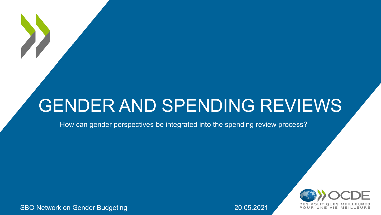### GENDER AND SPENDING REVIEWS

How can gender perspectives be integrated into the spending review process?



SBO Network on Gender Budgeting **20.05.2021** 20.05.2021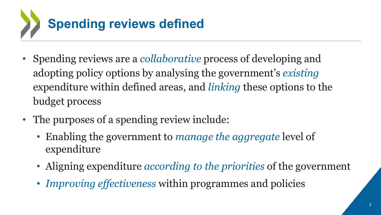

- Spending reviews are a *collaborative* process of developing and adopting policy options by analysing the government's *existing* expenditure within defined areas, and *linking* these options to the budget process
- The purposes of a spending review include:
	- Enabling the government to *manage the aggregate* level of expenditure
	- Aligning expenditure *according to the priorities* of the government
	- *Improving effectiveness* within programmes and policies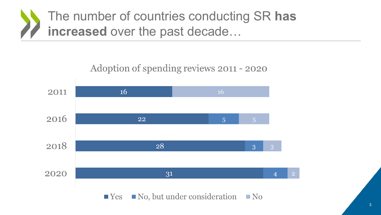The number of countries conducting SR has increased over the past decade...

#### Adoption of spending reviews 2011 - 2020

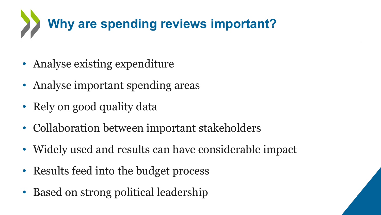

- Analyse existing expenditure
- Analyse important spending areas
- Rely on good quality data
- Collaboration between important stakeholders
- Widely used and results can have considerable impact
- Results feed into the budget process
- Based on strong political leadership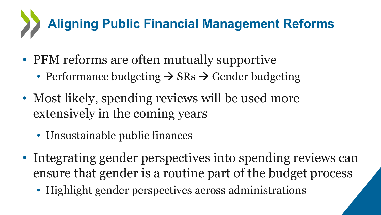# **Aligning Public Financial Management Reforms**

- PFM reforms are often mutually supportive
	- Performance budgeting  $\rightarrow$  SRs  $\rightarrow$  Gender budgeting
- Most likely, spending reviews will be used more extensively in the coming years
	- Unsustainable public finances
- Integrating gender perspectives into spending reviews can ensure that gender is a routine part of the budget process
	- Highlight gender perspectives across administrations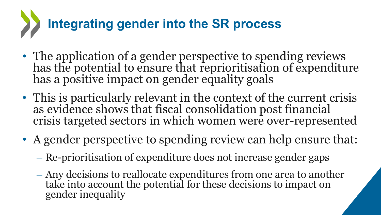## **Integrating gender into the SR process**

- The application of a gender perspective to spending reviews has the potential to ensure that reprioritisation of expenditure has a positive impact on gender equality goals
- This is particularly relevant in the context of the current crisis as evidence shows that fiscal consolidation post financial crisis targeted sectors in which women were over-represented
- A gender perspective to spending review can help ensure that:
	- Re-prioritisation of expenditure does not increase gender gaps
	- Any decisions to reallocate expenditures from one area to another take into account the potential for these decisions to impact on gender inequality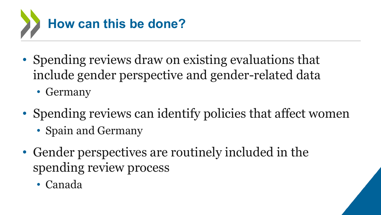

- Spending reviews draw on existing evaluations that include gender perspective and gender-related data
	- Germany
- Spending reviews can identify policies that affect women
	- Spain and Germany
- Gender perspectives are routinely included in the spending review process
	- Canada